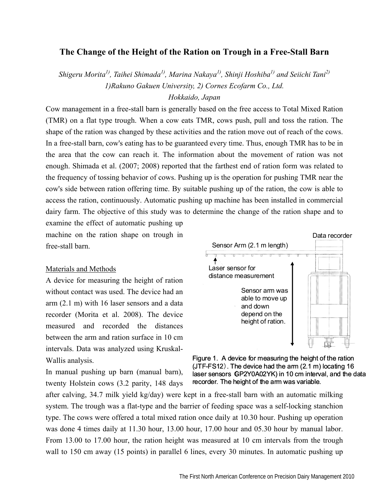# **The Change of the Height of the Ration on Trough in a Free-Stall Barn**

*Shigeru Morita1), Taihei Shimada1), Marina Nakaya1), Shinji Hoshiba1) and Seiichi Tani2) 1)Rakuno Gakuen University, 2) Cornes Ecofarm Co., Ltd.* 

## *Hokkaido, Japan*

Cow management in a free-stall barn is generally based on the free access to Total Mixed Ration (TMR) on a flat type trough. When a cow eats TMR, cows push, pull and toss the ration. The shape of the ration was changed by these activities and the ration move out of reach of the cows. In a free-stall barn, cow's eating has to be guaranteed every time. Thus, enough TMR has to be in the area that the cow can reach it. The information about the movement of ration was not enough. Shimada et al. (2007; 2008) reported that the farthest end of ration form was related to the frequency of tossing behavior of cows. Pushing up is the operation for pushing TMR near the cow's side between ration offering time. By suitable pushing up of the ration, the cow is able to access the ration, continuously. Automatic pushing up machine has been installed in commercial dairy farm. The objective of this study was to determine the change of the ration shape and to

examine the effect of automatic pushing up machine on the ration shape on trough in free-stall barn.

### Materials and Methods

A device for measuring the height of ration without contact was used. The device had an arm (2.1 m) with 16 laser sensors and a data recorder (Morita et al. 2008). The device measured and recorded the distances between the arm and ration surface in 10 cm intervals. Data was analyzed using Kruskal-Wallis analysis.

In manual pushing up barn (manual barn), twenty Holstein cows (3.2 parity, 148 days





after calving, 34.7 milk yield kg/day) were kept in a free-stall barn with an automatic milking system. The trough was a flat-type and the barrier of feeding space was a self-locking stanchion type. The cows were offered a total mixed ration once daily at 10.30 hour. Pushing up operation was done 4 times daily at 11.30 hour, 13.00 hour, 17.00 hour and 05.30 hour by manual labor. From 13.00 to 17.00 hour, the ration height was measured at 10 cm intervals from the trough wall to 150 cm away (15 points) in parallel 6 lines, every 30 minutes. In automatic pushing up